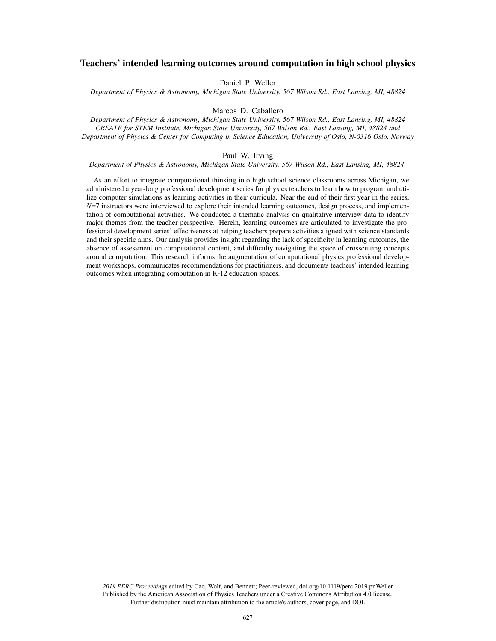# Teachers' intended learning outcomes around computation in high school physics

Daniel P. Weller

*Department of Physics & Astronomy, Michigan State University, 567 Wilson Rd., East Lansing, MI, 48824*

Marcos D. Caballero

*Department of Physics & Astronomy, Michigan State University, 567 Wilson Rd., East Lansing, MI, 48824 CREATE for STEM Institute, Michigan State University, 567 Wilson Rd., East Lansing, MI, 48824 and Department of Physics & Center for Computing in Science Education, University of Oslo, N-0316 Oslo, Norway*

## Paul W. Irving

### *Department of Physics & Astronomy, Michigan State University, 567 Wilson Rd., East Lansing, MI, 48824*

As an effort to integrate computational thinking into high school science classrooms across Michigan, we administered a year-long professional development series for physics teachers to learn how to program and utilize computer simulations as learning activities in their curricula. Near the end of their first year in the series, *N*=7 instructors were interviewed to explore their intended learning outcomes, design process, and implementation of computational activities. We conducted a thematic analysis on qualitative interview data to identify major themes from the teacher perspective. Herein, learning outcomes are articulated to investigate the professional development series' effectiveness at helping teachers prepare activities aligned with science standards and their specific aims. Our analysis provides insight regarding the lack of specificity in learning outcomes, the absence of assessment on computational content, and difficulty navigating the space of crosscutting concepts around computation. This research informs the augmentation of computational physics professional development workshops, communicates recommendations for practitioners, and documents teachers' intended learning outcomes when integrating computation in K-12 education spaces.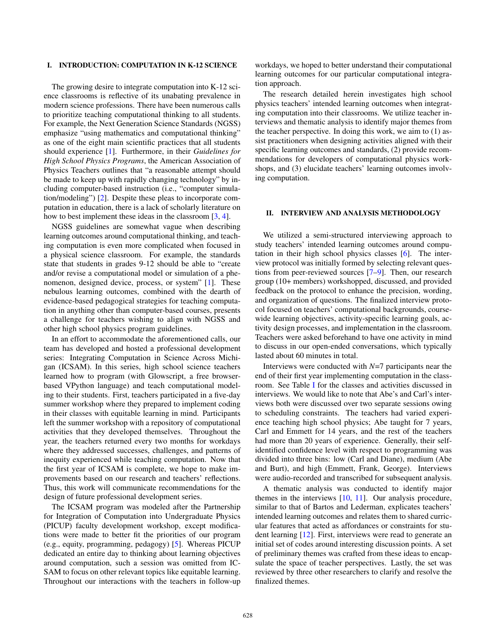# I. INTRODUCTION: COMPUTATION IN K-12 SCIENCE

The growing desire to integrate computation into K-12 science classrooms is reflective of its unabating prevalence in modern science professions. There have been numerous calls to prioritize teaching computational thinking to all students. For example, the Next Generation Science Standards (NGSS) emphasize "using mathematics and computational thinking" as one of the eight main scientific practices that all students should experience [1]. Furthermore, in their *Guidelines for High School Physics Programs*, the American Association of Physics Teachers outlines that "a reasonable attempt should be made to keep up with rapidly changing technology" by including computer-based instruction (i.e., "computer simulation/modeling") [2]. Despite these pleas to incorporate computation in education, there is a lack of scholarly literature on how to best implement these ideas in the classroom [3, 4].

NGSS guidelines are somewhat vague when describing learning outcomes around computational thinking, and teaching computation is even more complicated when focused in a physical science classroom. For example, the standards state that students in grades 9-12 should be able to "create and/or revise a computational model or simulation of a phenomenon, designed device, process, or system" [1]. These nebulous learning outcomes, combined with the dearth of evidence-based pedagogical strategies for teaching computation in anything other than computer-based courses, presents a challenge for teachers wishing to align with NGSS and other high school physics program guidelines.

In an effort to accommodate the aforementioned calls, our team has developed and hosted a professional development series: Integrating Computation in Science Across Michigan (ICSAM). In this series, high school science teachers learned how to program (with Glowscript, a free browserbased VPython language) and teach computational modeling to their students. First, teachers participated in a five-day summer workshop where they prepared to implement coding in their classes with equitable learning in mind. Participants left the summer workshop with a repository of computational activities that they developed themselves. Throughout the year, the teachers returned every two months for workdays where they addressed successes, challenges, and patterns of inequity experienced while teaching computation. Now that the first year of ICSAM is complete, we hope to make improvements based on our research and teachers' reflections. Thus, this work will communicate recommendations for the design of future professional development series.

The ICSAM program was modeled after the Partnership for Integration of Computation into Undergraduate Physics (PICUP) faculty development workshop, except modifications were made to better fit the priorities of our program (e.g., equity, programming, pedagogy) [5]. Whereas PICUP dedicated an entire day to thinking about learning objectives around computation, such a session was omitted from IC-SAM to focus on other relevant topics like equitable learning. Throughout our interactions with the teachers in follow-up workdays, we hoped to better understand their computational learning outcomes for our particular computational integration approach.

The research detailed herein investigates high school physics teachers' intended learning outcomes when integrating computation into their classrooms. We utilize teacher interviews and thematic analysis to identify major themes from the teacher perspective. In doing this work, we aim to (1) assist practitioners when designing activities aligned with their specific learning outcomes and standards, (2) provide recommendations for developers of computational physics workshops, and (3) elucidate teachers' learning outcomes involving computation.

### II. INTERVIEW AND ANALYSIS METHODOLOGY

We utilized a semi-structured interviewing approach to study teachers' intended learning outcomes around computation in their high school physics classes [6]. The interview protocol was initially formed by selecting relevant questions from peer-reviewed sources [7–9]. Then, our research group (10+ members) workshopped, discussed, and provided feedback on the protocol to enhance the precision, wording, and organization of questions. The finalized interview protocol focused on teachers' computational backgrounds, coursewide learning objectives, activity-specific learning goals, activity design processes, and implementation in the classroom. Teachers were asked beforehand to have one activity in mind to discuss in our open-ended conversations, which typically lasted about 60 minutes in total.

Interviews were conducted with *N*=7 participants near the end of their first year implementing computation in the classroom. See Table I for the classes and activities discussed in interviews. We would like to note that Abe's and Carl's interviews both were discussed over two separate sessions owing to scheduling constraints. The teachers had varied experience teaching high school physics; Abe taught for 7 years, Carl and Emmett for 14 years, and the rest of the teachers had more than 20 years of experience. Generally, their selfidentified confidence level with respect to programming was divided into three bins: low (Carl and Diane), medium (Abe and Burt), and high (Emmett, Frank, George). Interviews were audio-recorded and transcribed for subsequent analysis.

A thematic analysis was conducted to identify major themes in the interviews  $[10, 11]$ . Our analysis procedure, similar to that of Bartos and Lederman, explicates teachers' intended learning outcomes and relates them to shared curricular features that acted as affordances or constraints for student learning [12]. First, interviews were read to generate an initial set of codes around interesting discussion points. A set of preliminary themes was crafted from these ideas to encapsulate the space of teacher perspectives. Lastly, the set was reviewed by three other researchers to clarify and resolve the finalized themes.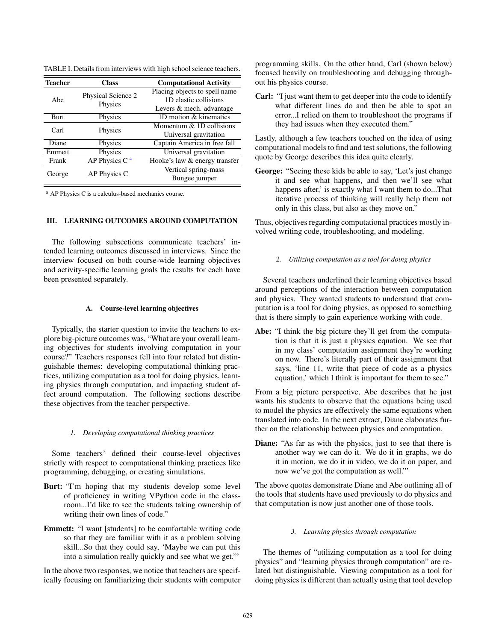| <b>Teacher</b> | <b>Class</b>                  | <b>Computational Activity</b> |
|----------------|-------------------------------|-------------------------------|
| Abe            | Physical Science 2<br>Physics | Placing objects to spell name |
|                |                               | 1D elastic collisions         |
|                |                               | Levers & mech. advantage      |
| <b>Burt</b>    | Physics                       | 1D motion & kinematics        |
| Carl           | Physics                       | Momentum $& 1D$ collisions    |
|                |                               | Universal gravitation         |
| Diane          | Physics                       | Captain America in free fall  |
| Emmett         | Physics                       | Universal gravitation         |
| Frank          | AP Physics $C^a$              | Hooke's law & energy transfer |
| George         | AP Physics C                  | Vertical spring-mass          |
|                |                               | Bungee jumper                 |

TABLE I. Details from interviews with high school science teachers.

<span id="page-2-0"></span><sup>a</sup> AP Physics C is a calculus-based mechanics course.

# III. LEARNING OUTCOMES AROUND COMPUTATION

The following subsections communicate teachers' intended learning outcomes discussed in interviews. Since the interview focused on both course-wide learning objectives and activity-specific learning goals the results for each have been presented separately.

# A. Course-level learning objectives

Typically, the starter question to invite the teachers to explore big-picture outcomes was, "What are your overall learning objectives for students involving computation in your course?" Teachers responses fell into four related but distinguishable themes: developing computational thinking practices, utilizing computation as a tool for doing physics, learning physics through computation, and impacting student affect around computation. The following sections describe these objectives from the teacher perspective.

#### *1. Developing computational thinking practices*

Some teachers' defined their course-level objectives strictly with respect to computational thinking practices like programming, debugging, or creating simulations.

- Burt: "I'm hoping that my students develop some level of proficiency in writing VPython code in the classroom...I'd like to see the students taking ownership of writing their own lines of code."
- Emmett: "I want [students] to be comfortable writing code so that they are familiar with it as a problem solving skill...So that they could say, 'Maybe we can put this into a simulation really quickly and see what we get."'

In the above two responses, we notice that teachers are specifically focusing on familiarizing their students with computer programming skills. On the other hand, Carl (shown below) focused heavily on troubleshooting and debugging throughout his physics course.

Carl: "I just want them to get deeper into the code to identify what different lines do and then be able to spot an error...I relied on them to troubleshoot the programs if they had issues when they executed them."

Lastly, although a few teachers touched on the idea of using computational models to find and test solutions, the following quote by George describes this idea quite clearly.

George: "Seeing these kids be able to say, 'Let's just change it and see what happens, and then we'll see what happens after,' is exactly what I want them to do...That iterative process of thinking will really help them not only in this class, but also as they move on."

Thus, objectives regarding computational practices mostly involved writing code, troubleshooting, and modeling.

*2. Utilizing computation as a tool for doing physics*

Several teachers underlined their learning objectives based around perceptions of the interaction between computation and physics. They wanted students to understand that computation is a tool for doing physics, as opposed to something that is there simply to gain experience working with code.

Abe: "I think the big picture they'll get from the computation is that it is just a physics equation. We see that in my class' computation assignment they're working on now. There's literally part of their assignment that says, 'line 11, write that piece of code as a physics equation,' which I think is important for them to see."

From a big picture perspective, Abe describes that he just wants his students to observe that the equations being used to model the physics are effectively the same equations when translated into code. In the next extract, Diane elaborates further on the relationship between physics and computation.

Diane: "As far as with the physics, just to see that there is another way we can do it. We do it in graphs, we do it in motion, we do it in video, we do it on paper, and now we've got the computation as well."'

The above quotes demonstrate Diane and Abe outlining all of the tools that students have used previously to do physics and that computation is now just another one of those tools.

### *3. Learning physics through computation*

The themes of "utilizing computation as a tool for doing physics" and "learning physics through computation" are related but distinguishable. Viewing computation as a tool for doing physics is different than actually using that tool develop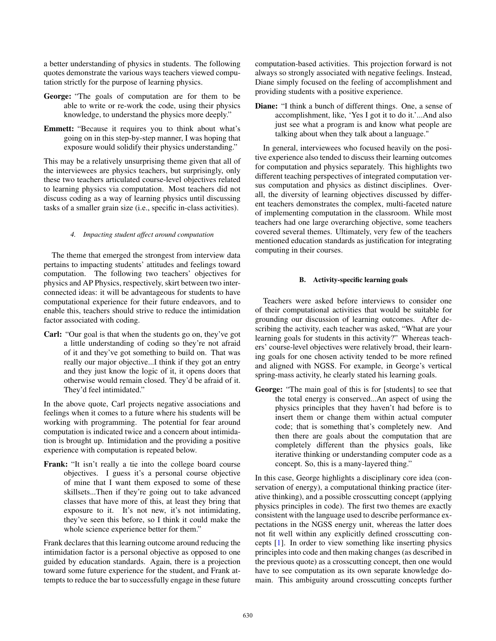a better understanding of physics in students. The following quotes demonstrate the various ways teachers viewed computation strictly for the purpose of learning physics.

- George: "The goals of computation are for them to be able to write or re-work the code, using their physics knowledge, to understand the physics more deeply."
- Emmett: "Because it requires you to think about what's going on in this step-by-step manner, I was hoping that exposure would solidify their physics understanding."

This may be a relatively unsurprising theme given that all of the interviewees are physics teachers, but surprisingly, only these two teachers articulated course-level objectives related to learning physics via computation. Most teachers did not discuss coding as a way of learning physics until discussing tasks of a smaller grain size (i.e., specific in-class activities).

# *4. Impacting student affect around computation*

The theme that emerged the strongest from interview data pertains to impacting students' attitudes and feelings toward computation. The following two teachers' objectives for physics and AP Physics, respectively, skirt between two interconnected ideas: it will be advantageous for students to have computational experience for their future endeavors, and to enable this, teachers should strive to reduce the intimidation factor associated with coding.

Carl: "Our goal is that when the students go on, they've got a little understanding of coding so they're not afraid of it and they've got something to build on. That was really our major objective...I think if they got an entry and they just know the logic of it, it opens doors that otherwise would remain closed. They'd be afraid of it. They'd feel intimidated."

In the above quote, Carl projects negative associations and feelings when it comes to a future where his students will be working with programming. The potential for fear around computation is indicated twice and a concern about intimidation is brought up. Intimidation and the providing a positive experience with computation is repeated below.

Frank: "It isn't really a tie into the college board course objectives. I guess it's a personal course objective of mine that I want them exposed to some of these skillsets...Then if they're going out to take advanced classes that have more of this, at least they bring that exposure to it. It's not new, it's not intimidating, they've seen this before, so I think it could make the whole science experience better for them."

Frank declares that this learning outcome around reducing the intimidation factor is a personal objective as opposed to one guided by education standards. Again, there is a projection toward some future experience for the student, and Frank attempts to reduce the bar to successfully engage in these future computation-based activities. This projection forward is not always so strongly associated with negative feelings. Instead, Diane simply focused on the feeling of accomplishment and providing students with a positive experience.

Diane: "I think a bunch of different things. One, a sense of accomplishment, like, 'Yes I got it to do it.'...And also just see what a program is and know what people are talking about when they talk about a language."

In general, interviewees who focused heavily on the positive experience also tended to discuss their learning outcomes for computation and physics separately. This highlights two different teaching perspectives of integrated computation versus computation and physics as distinct disciplines. Overall, the diversity of learning objectives discussed by different teachers demonstrates the complex, multi-faceted nature of implementing computation in the classroom. While most teachers had one large overarching objective, some teachers covered several themes. Ultimately, very few of the teachers mentioned education standards as justification for integrating computing in their courses.

### B. Activity-specific learning goals

Teachers were asked before interviews to consider one of their computational activities that would be suitable for grounding our discussion of learning outcomes. After describing the activity, each teacher was asked, "What are your learning goals for students in this activity?" Whereas teachers' course-level objectives were relatively broad, their learning goals for one chosen activity tended to be more refined and aligned with NGSS. For example, in George's vertical spring-mass activity, he clearly stated his learning goals.

George: "The main goal of this is for [students] to see that the total energy is conserved...An aspect of using the physics principles that they haven't had before is to insert them or change them within actual computer code; that is something that's completely new. And then there are goals about the computation that are completely different than the physics goals, like iterative thinking or understanding computer code as a concept. So, this is a many-layered thing."

In this case, George highlights a disciplinary core idea (conservation of energy), a computational thinking practice (iterative thinking), and a possible crosscutting concept (applying physics principles in code). The first two themes are exactly consistent with the language used to describe performance expectations in the NGSS energy unit, whereas the latter does not fit well within any explicitly defined crosscutting concepts [1]. In order to view something like inserting physics principles into code and then making changes (as described in the previous quote) as a crosscutting concept, then one would have to see computation as its own separate knowledge domain. This ambiguity around crosscutting concepts further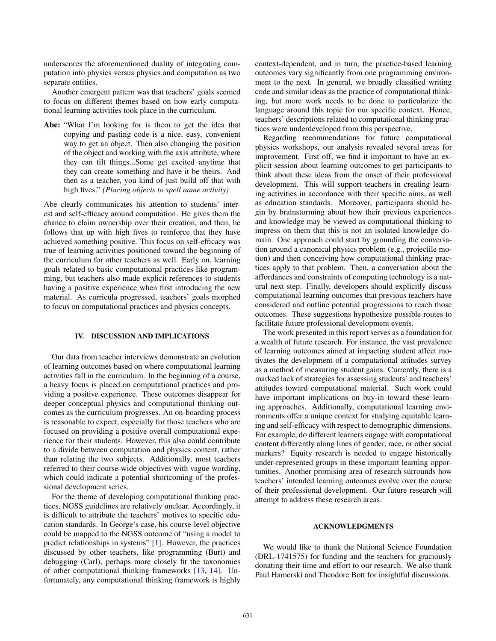underscores the aforementioned duality of integrating computation into physics versus physics and computation as two separate entities.

Another emergent pattern was that teachers' goals seemed to focus on different themes based on how early computational learning activities took place in the curriculum.

Abe: "What I'm looking for is them to get the idea that copying and pasting code is a nice, easy, convenient way to get an object. Then also changing the position of the object and working with the axis attribute, where they can tilt things...Some get excited anytime that they can create something and have it be theirs. And then as a teacher, you kind of just build off that with high fives." *(Placing objects to spell name activity)*

Abe clearly communicates his attention to students' interest and self-efficacy around computation. He gives them the chance to claim ownership over their creation, and then, he follows that up with high fives to reinforce that they have achieved something positive. This focus on self-efficacy was true of learning activities positioned toward the beginning of the curriculum for other teachers as well. Early on, learning goals related to basic computational practices like programming, but teachers also made explicit references to students having a positive experience when first introducing the new material. As curricula progressed, teachers' goals morphed to focus on computational practices and physics concepts.

#### IV. DISCUSSION AND IMPLICATIONS

Our data from teacher interviews demonstrate an evolution of learning outcomes based on where computational learning activities fall in the curriculum. In the beginning of a course, a heavy focus is placed on computational practices and providing a positive experience. These outcomes disappear for deeper conceptual physics and computational thinking outcomes as the curriculum progresses. An on-boarding process is reasonable to expect, especially for those teachers who are focused on providing a positive overall computational experience for their students. However, this also could contribute to a divide between computation and physics content, rather than relating the two subjects. Additionally, most teachers referred to their course-wide objectives with vague wording, which could indicate a potential shortcoming of the professional development series.

For the theme of developing computational thinking practices, NGSS guidelines are relatively unclear. Accordingly, it is difficult to attribute the teachers' motives to specific education standards. In George's case, his course-level objective could be mapped to the NGSS outcome of "using a model to predict relationships in systems" [1]. However, the practices discussed by other teachers, like programming (Burt) and debugging (Carl), perhaps more closely fit the taxonomies of other computational thinking frameworks [13, 14]. Unfortunately, any computational thinking framework is highly context-dependent, and in turn, the practice-based learning outcomes vary significantly from one programming environment to the next. In general, we broadly classified writing code and similar ideas as the practice of computational thinking, but more work needs to be done to particularize the language around this topic for our specific context. Hence, teachers' descriptions related to computational thinking practices were underdeveloped from this perspective.

Regarding recommendations for future computational physics workshops, our analysis revealed several areas for improvement. First off, we find it important to have an explicit session about learning outcomes to get participants to think about these ideas from the onset of their professional development. This will support teachers in creating learning activities in accordance with their specific aims, as well as education standards. Moreover, participants should begin by brainstorming about how their previous experiences and knowledge may be viewed as computational thinking to impress on them that this is not an isolated knowledge domain. One approach could start by grounding the conversation around a canonical physics problem (e.g., projectile motion) and then conceiving how computational thinking practices apply to that problem. Then, a conversation about the affordances and constraints of computing technology is a natural next step. Finally, developers should explicitly discuss computational learning outcomes that previous teachers have considered and outline potential progressions to reach those outcomes. These suggestions hypothesize possible routes to facilitate future professional development events.

The work presented in this report serves as a foundation for a wealth of future research. For instance, the vast prevalence of learning outcomes aimed at impacting student affect motivates the development of a computational attitudes survey as a method of measuring student gains. Currently, there is a marked lack of strategies for assessing students' and teachers' attitudes toward computational material. Such work could have important implications on buy-in toward these learning approaches. Additionally, computational learning environments offer a unique context for studying equitable learning and self-efficacy with respect to demographic dimensions. For example, do different learners engage with computational content differently along lines of gender, race, or other social markers? Equity research is needed to engage historically under-represented groups in these important learning opportunities. Another promising area of research surrounds how teachers' intended learning outcomes evolve over the course of their professional development. Our future research will attempt to address these research areas.

### ACKNOWLEDGMENTS

We would like to thank the National Science Foundation (DRL-1741575) for funding and the teachers for graciously donating their time and effort to our research. We also thank Paul Hamerski and Theodore Bott for insightful discussions.